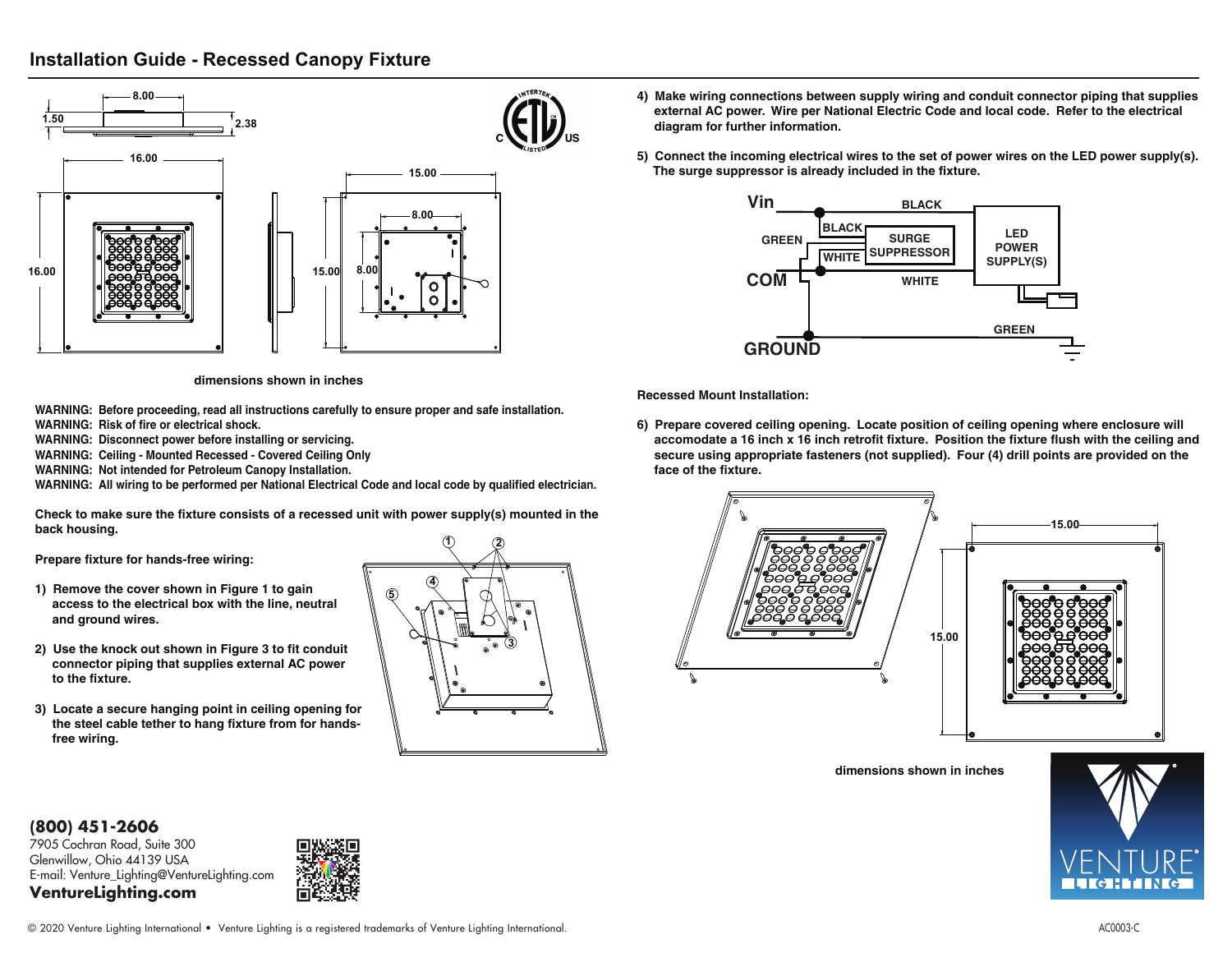## **Installation Guide - Recessed Canopy Fixture**



**dimensions shown in inches**

**WARNING: Before proceeding, read all instructions carefully to ensure proper and safe installation. WARNING: Risk of fire or electrical shock.**

**WARNING: Disconnect power before installing or servicing.**

**WARNING: Ceiling - Mounted Recessed - Covered Ceiling Only**

**WARNING: Not intended for Petroleum Canopy Installation.**

**WARNING: All wiring to be performed per National Electrical Code and local code by qualified electrician.**

**Check to make sure the fixture consists of a recessed unit with power supply(s) mounted in the back housing.**

**Prepare fixture for hands-free wiring:**

- **1) Remove the cover shown in Figure 1 to gain access to the electrical box with the line, neutral and ground wires.**
- **2) Use the knock out shown in Figure 3 to fit conduit connector piping that supplies external AC power to the fixture.**
- **3) Locate a secure hanging point in ceiling opening for the steel cable tether to hang fixture from for hands free wiring.**



- **4) Make wiring connections between supply wiring and conduit connector piping that supplies external AC power. Wire per National Electric Code and local code. Refer to the electrical diagram for further information.**
- **5) Connect the incoming electrical wires to the set of power wires on the LED power supply(s). The surge suppressor is already included in the fixture.**



**Recessed Mount Installation:**

**6) Prepare covered ceiling opening. Locate position of ceiling opening where enclosure will accomodate a 16 inch x 16 inch retrofit fixture. Position the fixture flush with the ceiling and secure using appropriate fasteners (not supplied). Four (4) drill points are provided on the face of the fixture.** 



**dimensions shown in inches**



**(800) 451-2606** 

7905 Cochran Road, Suite 300 Glenwillow, Ohio 44139 USA E-mail: Venture\_Lighting@VentureLighting.com **VentureLighting.com**